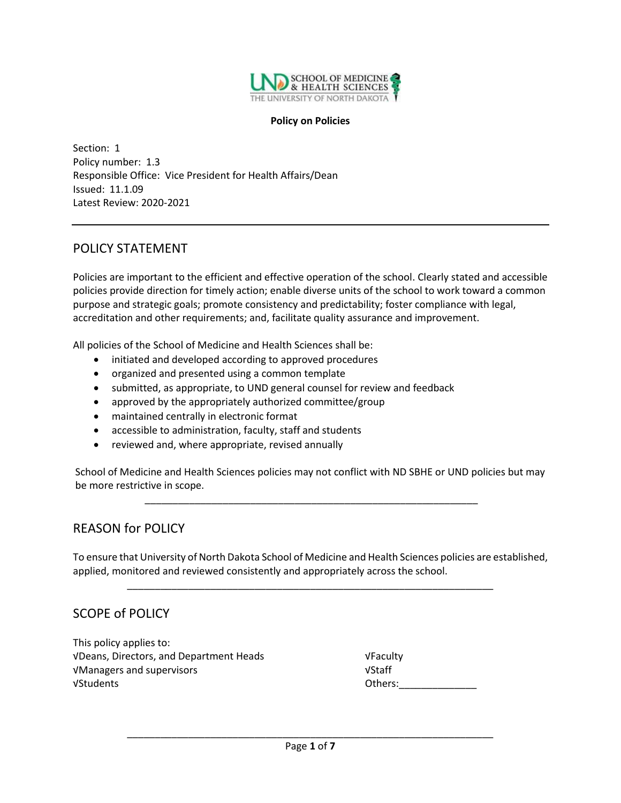

#### **Policy on Policies**

Section: 1 Policy number: 1.3 Responsible Office: Vice President for Health Affairs/Dean Issued: 11.1.09 Latest Review: 2020-2021

### POLICY STATEMENT

Policies are important to the efficient and effective operation of the school. Clearly stated and accessible policies provide direction for timely action; enable diverse units of the school to work toward a common purpose and strategic goals; promote consistency and predictability; foster compliance with legal, accreditation and other requirements; and, facilitate quality assurance and improvement.

All policies of the School of Medicine and Health Sciences shall be:

- initiated and developed according to approved procedures
- organized and presented using a common template
- submitted, as appropriate, to UND general counsel for review and feedback
- approved by the appropriately authorized committee/group
- maintained centrally in electronic format
- accessible to administration, faculty, staff and students
- reviewed and, where appropriate, revised annually

School of Medicine and Health Sciences policies may not conflict with ND SBHE or UND policies but may be more restrictive in scope.

\_\_\_\_\_\_\_\_\_\_\_\_\_\_\_\_\_\_\_\_\_\_\_\_\_\_\_\_\_\_\_\_\_\_\_\_\_\_\_\_\_\_\_\_\_\_\_\_\_\_\_\_\_\_\_\_\_\_\_\_

# REASON for POLICY

To ensure that University of North Dakota School of Medicine and Health Sciences policies are established, applied, monitored and reviewed consistently and appropriately across the school.

\_\_\_\_\_\_\_\_\_\_\_\_\_\_\_\_\_\_\_\_\_\_\_\_\_\_\_\_\_\_\_\_\_\_\_\_\_\_\_\_\_\_\_\_\_\_\_\_\_\_\_\_\_\_\_\_\_\_\_\_\_\_\_\_\_\_

# SCOPE of POLICY

This policy applies to: √Deans, Directors, and Department Heads √Faculty √Managers and supervisors √Staff √Students Others:\_\_\_\_\_\_\_\_\_\_\_\_\_\_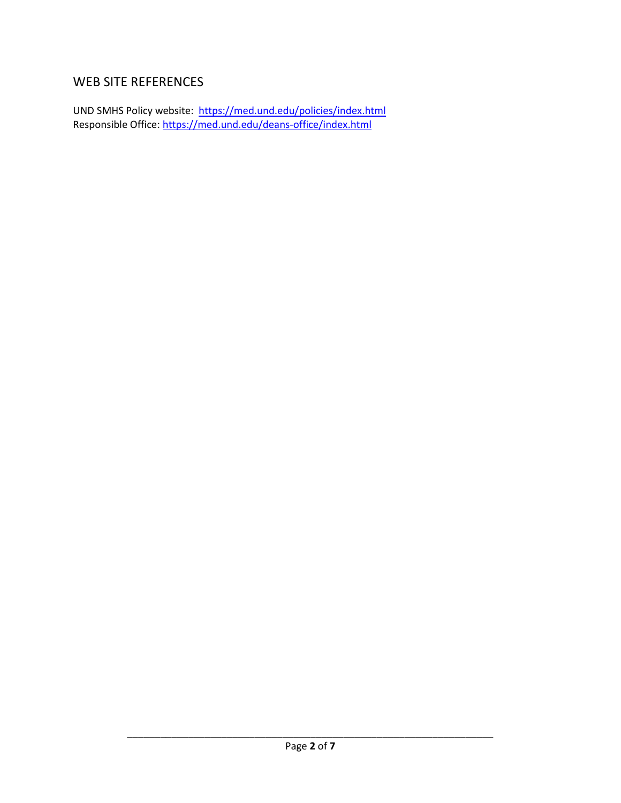# WEB SITE REFERENCES

UND SMHS Policy website: <u><https://med.und.edu/policies/index.html></u> Responsible Office:<https://med.und.edu/deans-office/index.html>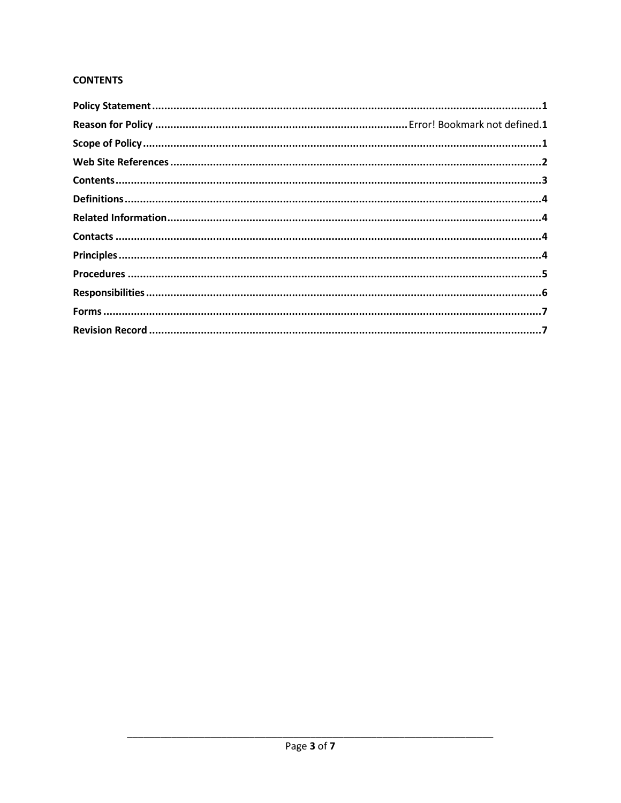### **CONTENTS**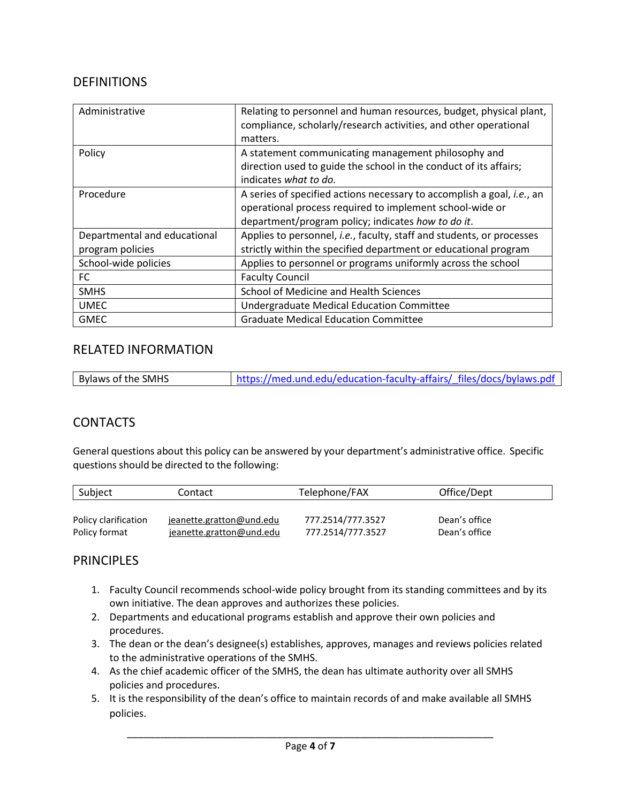# DEFINITIONS

| Administrative                                   | Relating to personnel and human resources, budget, physical plant,<br>compliance, scholarly/research activities, and other operational<br>matters.                                               |
|--------------------------------------------------|--------------------------------------------------------------------------------------------------------------------------------------------------------------------------------------------------|
| Policy                                           | A statement communicating management philosophy and<br>direction used to guide the school in the conduct of its affairs;                                                                         |
|                                                  | indicates what to do.                                                                                                                                                                            |
| Procedure                                        | A series of specified actions necessary to accomplish a goal, <i>i.e.</i> , an<br>operational process required to implement school-wide or<br>department/program policy; indicates how to do it. |
| Departmental and educational<br>program policies | Applies to personnel, i.e., faculty, staff and students, or processes<br>strictly within the specified department or educational program                                                         |
| School-wide policies                             | Applies to personnel or programs uniformly across the school                                                                                                                                     |
| FC.                                              | <b>Faculty Council</b>                                                                                                                                                                           |
| <b>SMHS</b>                                      | School of Medicine and Health Sciences                                                                                                                                                           |
| <b>UMEC</b>                                      | Undergraduate Medical Education Committee                                                                                                                                                        |
| <b>GMEC</b>                                      | <b>Graduate Medical Education Committee</b>                                                                                                                                                      |

# RELATED INFORMATION

| Bylaws of the SMHS | https://med.und.edu/education-faculty-affairs/ files/docs/bylaws.pdf |  |
|--------------------|----------------------------------------------------------------------|--|
|                    |                                                                      |  |

# **CONTACTS**

General questions about this policy can be answered by your department's administrative office. Specific questions should be directed to the following:

| Subject              | Contact                  | Telephone/FAX     | Office/Dept   |
|----------------------|--------------------------|-------------------|---------------|
|                      |                          |                   |               |
| Policy clarification | jeanette.gratton@und.edu | 777.2514/777.3527 | Dean's office |
| Policy format        | jeanette.gratton@und.edu | 777.2514/777.3527 | Dean's office |

# **PRINCIPLES**

- 1. Faculty Council recommends school-wide policy brought from its standing committees and by its own initiative. The dean approves and authorizes these policies.
- 2. Departments and educational programs establish and approve their own policies and procedures.
- 3. The dean or the dean's designee(s) establishes, approves, manages and reviews policies related to the administrative operations of the SMHS.
- 4. As the chief academic officer of the SMHS, the dean has ultimate authority over all SMHS policies and procedures.
- 5. It is the responsibility of the dean's office to maintain records of and make available all SMHS policies.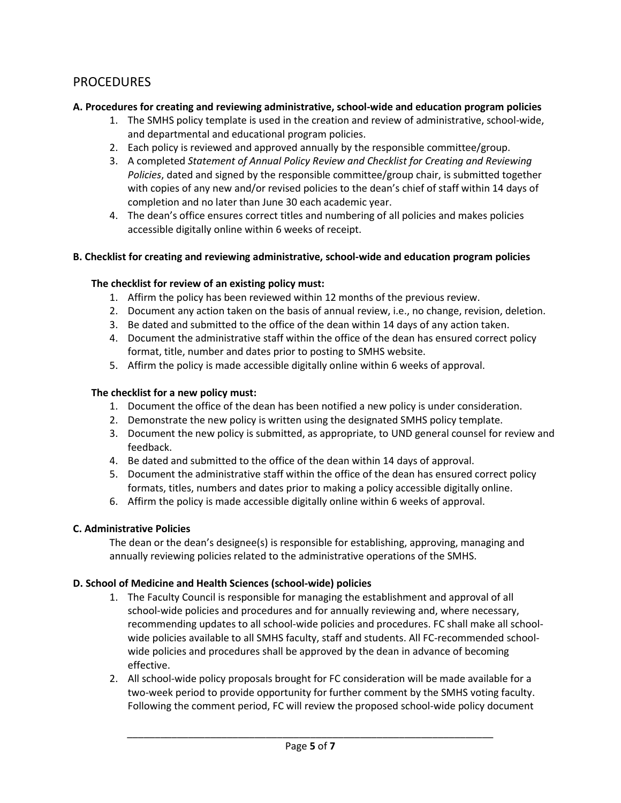# PROCEDURES

#### **A. Procedures for creating and reviewing administrative, school-wide and education program policies**

- 1. The SMHS policy template is used in the creation and review of administrative, school-wide, and departmental and educational program policies.
- 2. Each policy is reviewed and approved annually by the responsible committee/group.
- 3. A completed *Statement of Annual Policy Review and Checklist for Creating and Reviewing Policies*, dated and signed by the responsible committee/group chair, is submitted together with copies of any new and/or revised policies to the dean's chief of staff within 14 days of completion and no later than June 30 each academic year.
- 4. The dean's office ensures correct titles and numbering of all policies and makes policies accessible digitally online within 6 weeks of receipt.

#### **B. Checklist for creating and reviewing administrative, school-wide and education program policies**

#### **The checklist for review of an existing policy must:**

- 1. Affirm the policy has been reviewed within 12 months of the previous review.
- 2. Document any action taken on the basis of annual review, i.e., no change, revision, deletion.
- 3. Be dated and submitted to the office of the dean within 14 days of any action taken.
- 4. Document the administrative staff within the office of the dean has ensured correct policy format, title, number and dates prior to posting to SMHS website.
- 5. Affirm the policy is made accessible digitally online within 6 weeks of approval.

#### **The checklist for a new policy must:**

- 1. Document the office of the dean has been notified a new policy is under consideration.
- 2. Demonstrate the new policy is written using the designated SMHS policy template.
- 3. Document the new policy is submitted, as appropriate, to UND general counsel for review and feedback.
- 4. Be dated and submitted to the office of the dean within 14 days of approval.
- 5. Document the administrative staff within the office of the dean has ensured correct policy formats, titles, numbers and dates prior to making a policy accessible digitally online.
- 6. Affirm the policy is made accessible digitally online within 6 weeks of approval.

#### **C. Administrative Policies**

The dean or the dean's designee(s) is responsible for establishing, approving, managing and annually reviewing policies related to the administrative operations of the SMHS.

#### **D. School of Medicine and Health Sciences (school-wide) policies**

- 1. The Faculty Council is responsible for managing the establishment and approval of all school-wide policies and procedures and for annually reviewing and, where necessary, recommending updates to all school-wide policies and procedures. FC shall make all schoolwide policies available to all SMHS faculty, staff and students. All FC-recommended schoolwide policies and procedures shall be approved by the dean in advance of becoming effective.
- 2. All school-wide policy proposals brought for FC consideration will be made available for a two-week period to provide opportunity for further comment by the SMHS voting faculty. Following the comment period, FC will review the proposed school-wide policy document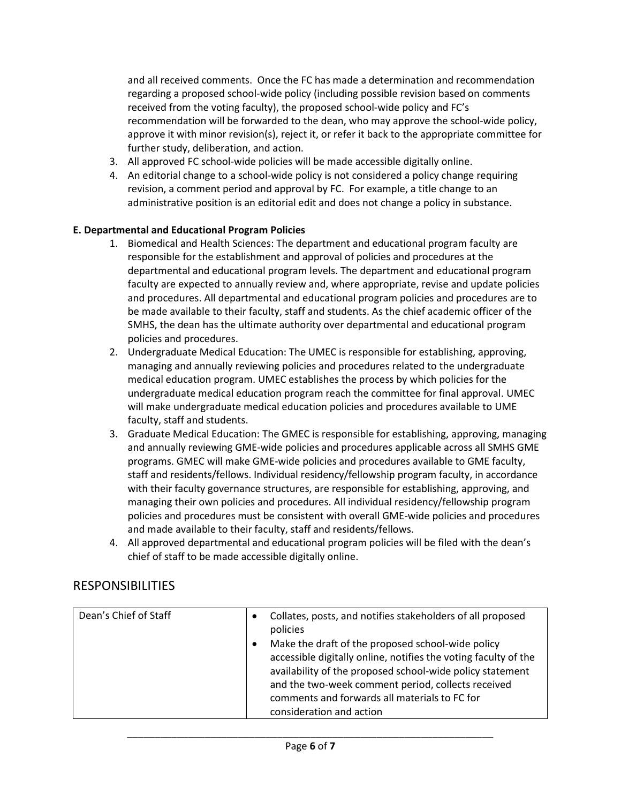and all received comments. Once the FC has made a determination and recommendation regarding a proposed school-wide policy (including possible revision based on comments received from the voting faculty), the proposed school-wide policy and FC's recommendation will be forwarded to the dean, who may approve the school-wide policy, approve it with minor revision(s), reject it, or refer it back to the appropriate committee for further study, deliberation, and action.

- 3. All approved FC school-wide policies will be made accessible digitally online.
- 4. An editorial change to a school-wide policy is not considered a policy change requiring revision, a comment period and approval by FC. For example, a title change to an administrative position is an editorial edit and does not change a policy in substance.

#### **E. Departmental and Educational Program Policies**

- 1. Biomedical and Health Sciences: The department and educational program faculty are responsible for the establishment and approval of policies and procedures at the departmental and educational program levels. The department and educational program faculty are expected to annually review and, where appropriate, revise and update policies and procedures. All departmental and educational program policies and procedures are to be made available to their faculty, staff and students. As the chief academic officer of the SMHS, the dean has the ultimate authority over departmental and educational program policies and procedures.
- 2. Undergraduate Medical Education: The UMEC is responsible for establishing, approving, managing and annually reviewing policies and procedures related to the undergraduate medical education program. UMEC establishes the process by which policies for the undergraduate medical education program reach the committee for final approval. UMEC will make undergraduate medical education policies and procedures available to UME faculty, staff and students.
- 3. Graduate Medical Education: The GMEC is responsible for establishing, approving, managing and annually reviewing GME-wide policies and procedures applicable across all SMHS GME programs. GMEC will make GME-wide policies and procedures available to GME faculty, staff and residents/fellows. Individual residency/fellowship program faculty, in accordance with their faculty governance structures, are responsible for establishing, approving, and managing their own policies and procedures. All individual residency/fellowship program policies and procedures must be consistent with overall GME-wide policies and procedures and made available to their faculty, staff and residents/fellows.
- 4. All approved departmental and educational program policies will be filed with the dean's chief of staff to be made accessible digitally online.

# RESPONSIBILITIES

| Dean's Chief of Staff | Collates, posts, and notifies stakeholders of all proposed<br>$\bullet$<br>policies<br>Make the draft of the proposed school-wide policy<br>٠<br>accessible digitally online, notifies the voting faculty of the<br>availability of the proposed school-wide policy statement<br>and the two-week comment period, collects received |
|-----------------------|-------------------------------------------------------------------------------------------------------------------------------------------------------------------------------------------------------------------------------------------------------------------------------------------------------------------------------------|
|                       | comments and forwards all materials to FC for                                                                                                                                                                                                                                                                                       |
|                       | consideration and action                                                                                                                                                                                                                                                                                                            |